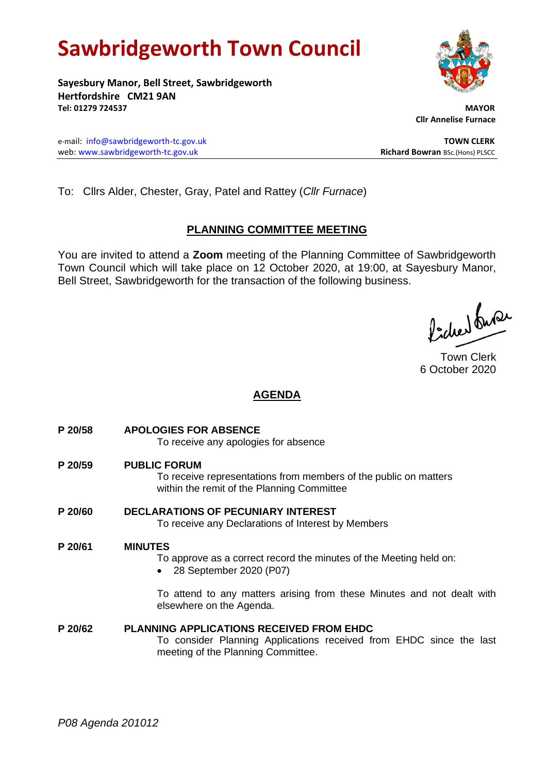# **Sawbridgeworth Town Council**

**Sayesbury Manor, Bell Street, Sawbridgeworth Hertfordshire CM21 9AN Tel: 01279 724537 MAYOR**

e-mail: [info@sawbridgeworth-tc.gov.uk](mailto:info@sawbridgeworth-tc.gov.uk) **TOWN CLERK** web: www.sawbridgeworth-tc.gov.uk<br> **Richard Bowran** BSc.(Hons) PLSCC

 **Cllr Annelise Furnace**

To: Cllrs Alder, Chester, Gray, Patel and Rattey (*Cllr Furnace*)

# **PLANNING COMMITTEE MEETING**

You are invited to attend a **Zoom** meeting of the Planning Committee of Sawbridgeworth Town Council which will take place on 12 October 2020, at 19:00, at Sayesbury Manor, Bell Street, Sawbridgeworth for the transaction of the following business.

ladres buse

Town Clerk 6 October 2020

# **AGENDA**

- **P 20/58 APOLOGIES FOR ABSENCE** To receive any apologies for absence **P 20/59 PUBLIC FORUM** To receive representations from members of the public on matters within the remit of the Planning Committee **P 20/60 DECLARATIONS OF PECUNIARY INTEREST** To receive any Declarations of Interest by Members **P 20/61 MINUTES** To approve as a correct record the minutes of the Meeting held on: • 28 September 2020 (P07) To attend to any matters arising from these Minutes and not dealt with elsewhere on the Agenda.
- **P 20/62 PLANNING APPLICATIONS RECEIVED FROM EHDC** To consider Planning Applications received from EHDC since the last meeting of the Planning Committee.